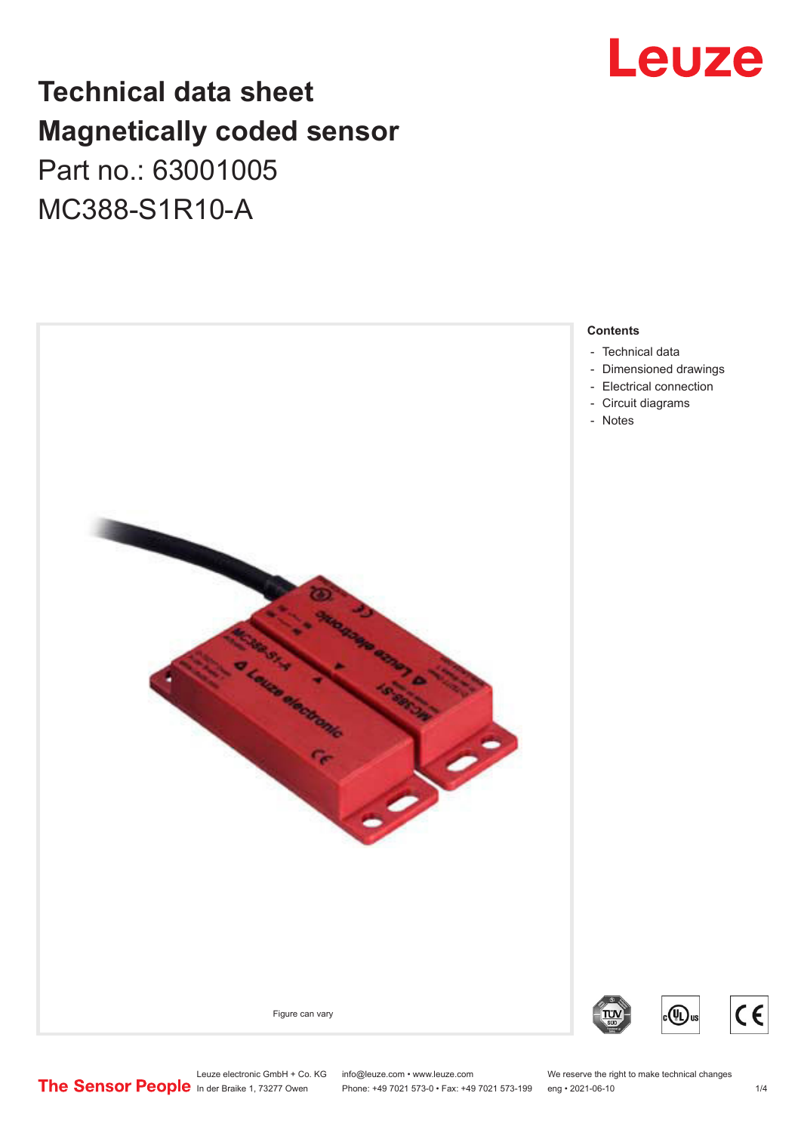## Leuze

## **Technical data sheet Magnetically coded sensor** Part no.: 63001005 MC388-S1R10-A

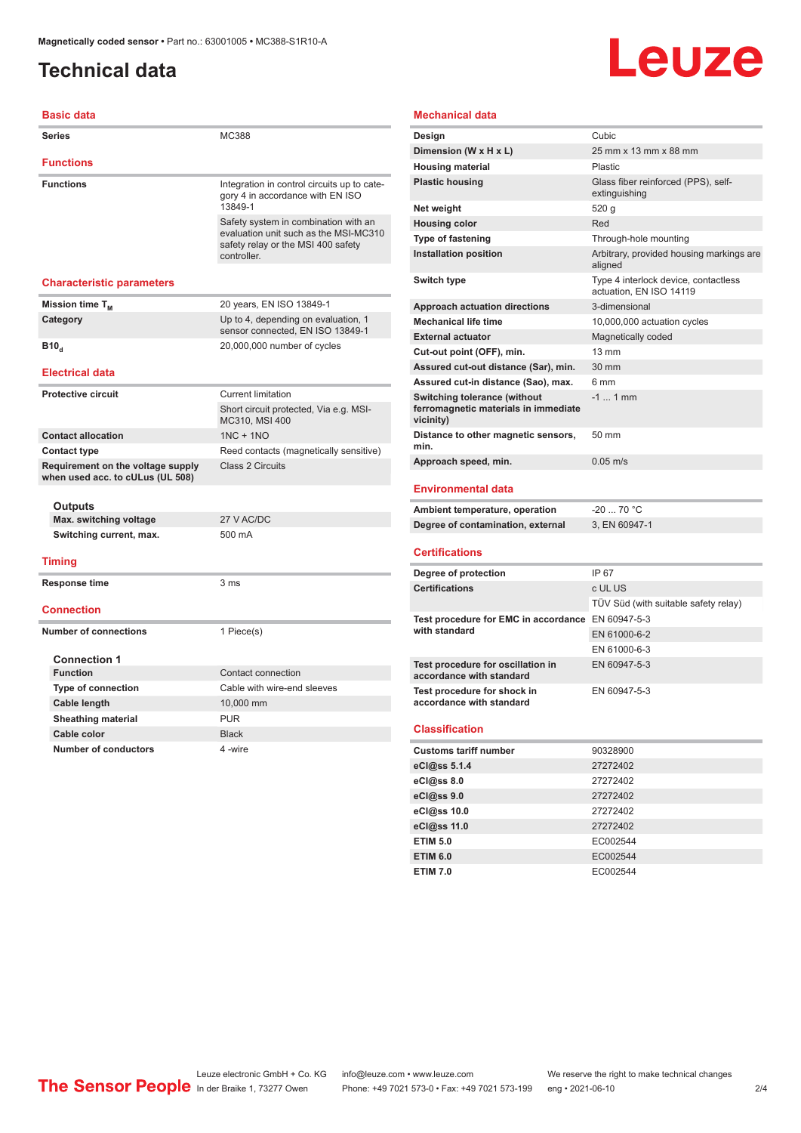## <span id="page-1-0"></span>**Technical data**

# Leuze

| <b>Basic data</b>                                                     |                                                                                                                                    |
|-----------------------------------------------------------------------|------------------------------------------------------------------------------------------------------------------------------------|
| Series                                                                | MC388                                                                                                                              |
| <b>Functions</b>                                                      |                                                                                                                                    |
| <b>Functions</b>                                                      | Integration in control circuits up to cate-<br>gory 4 in accordance with EN ISO<br>13849-1                                         |
|                                                                       | Safety system in combination with an<br>evaluation unit such as the MSI-MC310<br>safety relay or the MSI 400 safety<br>controller. |
| <b>Characteristic parameters</b>                                      |                                                                                                                                    |
| Mission time T <sub>M</sub>                                           | 20 years, EN ISO 13849-1                                                                                                           |
| Category                                                              | Up to 4, depending on evaluation, 1<br>sensor connected, EN ISO 13849-1                                                            |
| <b>B</b> <sub>10</sub>                                                | 20,000,000 number of cycles                                                                                                        |
| <b>Electrical data</b>                                                |                                                                                                                                    |
| <b>Protective circuit</b>                                             | <b>Current limitation</b>                                                                                                          |
|                                                                       | Short circuit protected, Via e.g. MSI-<br>MC310, MSI 400                                                                           |
| <b>Contact allocation</b>                                             | $1NC + 1NO$                                                                                                                        |
| <b>Contact type</b>                                                   | Reed contacts (magnetically sensitive)                                                                                             |
| Requirement on the voltage supply<br>when used acc. to cULus (UL 508) | Class 2 Circuits                                                                                                                   |
| Outputs                                                               |                                                                                                                                    |
| Max. switching voltage                                                | 27 V AC/DC                                                                                                                         |
| Switching current, max.                                               | 500 mA                                                                                                                             |
| <b>Timing</b>                                                         |                                                                                                                                    |
| Response time                                                         | 3 <sub>ms</sub>                                                                                                                    |
| <b>Connection</b>                                                     |                                                                                                                                    |
| <b>Number of connections</b>                                          | 1 Piece(s)                                                                                                                         |
| <b>Connection 1</b>                                                   |                                                                                                                                    |
| <b>Function</b>                                                       | Contact connection                                                                                                                 |
| <b>Type of connection</b>                                             | Cable with wire-end sleeves                                                                                                        |
| Cable length                                                          | 10,000 mm                                                                                                                          |
| <b>Sheathing material</b>                                             | <b>PUR</b>                                                                                                                         |
| Cable color                                                           | <b>Black</b>                                                                                                                       |
| <b>Number of conductors</b>                                           | 4 -wire                                                                                                                            |

#### **Mechanical data**

| Design                                                                                   | Cubic                                                           |
|------------------------------------------------------------------------------------------|-----------------------------------------------------------------|
| Dimension (W x H x L)                                                                    | 25 mm x 13 mm x 88 mm                                           |
| <b>Housing material</b>                                                                  | <b>Plastic</b>                                                  |
| <b>Plastic housing</b>                                                                   | Glass fiber reinforced (PPS), self-<br>extinguishing            |
| Net weight                                                                               | 520 g                                                           |
| <b>Housing color</b>                                                                     | Red                                                             |
| <b>Type of fastening</b>                                                                 | Through-hole mounting                                           |
| <b>Installation position</b>                                                             | Arbitrary, provided housing markings are<br>aligned             |
| Switch type                                                                              | Type 4 interlock device, contactless<br>actuation. EN ISO 14119 |
| <b>Approach actuation directions</b>                                                     | 3-dimensional                                                   |
| <b>Mechanical life time</b>                                                              | 10,000,000 actuation cycles                                     |
| <b>External actuator</b>                                                                 | Magnetically coded                                              |
| Cut-out point (OFF), min.                                                                | $13 \text{ mm}$                                                 |
| Assured cut-out distance (Sar), min.                                                     | 30 mm                                                           |
| Assured cut-in distance (Sao), max.                                                      | 6 mm                                                            |
| <b>Switching tolerance (without</b><br>ferromagnetic materials in immediate<br>vicinity) | $-1$ 1 mm                                                       |
| Distance to other magnetic sensors,<br>min.                                              | 50 mm                                                           |
| Approach speed, min.                                                                     | $0.05 \text{ m/s}$                                              |
|                                                                                          |                                                                 |

#### **Environmental data**

| Ambient temperature, operation    | -20  70 °C    |
|-----------------------------------|---------------|
| Degree of contamination, external | 3. EN 60947-1 |

#### **Certifications**

| Degree of protection                                               | IP 67                                |
|--------------------------------------------------------------------|--------------------------------------|
| <b>Certifications</b>                                              | c UL US                              |
|                                                                    | TÜV Süd (with suitable safety relay) |
| Test procedure for EMC in accordance EN 60947-5-3<br>with standard |                                      |
|                                                                    | EN 61000-6-2                         |
|                                                                    | EN 61000-6-3                         |
| Test procedure for oscillation in<br>accordance with standard      | EN 60947-5-3                         |
| Test procedure for shock in<br>accordance with standard            | EN 60947-5-3                         |

#### **Classification**

| <b>Customs tariff number</b> | 90328900 |  |
|------------------------------|----------|--|
| eCl@ss 5.1.4                 | 27272402 |  |
| eCl@ss 8.0                   | 27272402 |  |
| eCl@ss 9.0                   | 27272402 |  |
| eCl@ss 10.0                  | 27272402 |  |
| eCl@ss 11.0                  | 27272402 |  |
| <b>ETIM 5.0</b>              | EC002544 |  |
| <b>ETIM 6.0</b>              | EC002544 |  |
| <b>ETIM 7.0</b>              | EC002544 |  |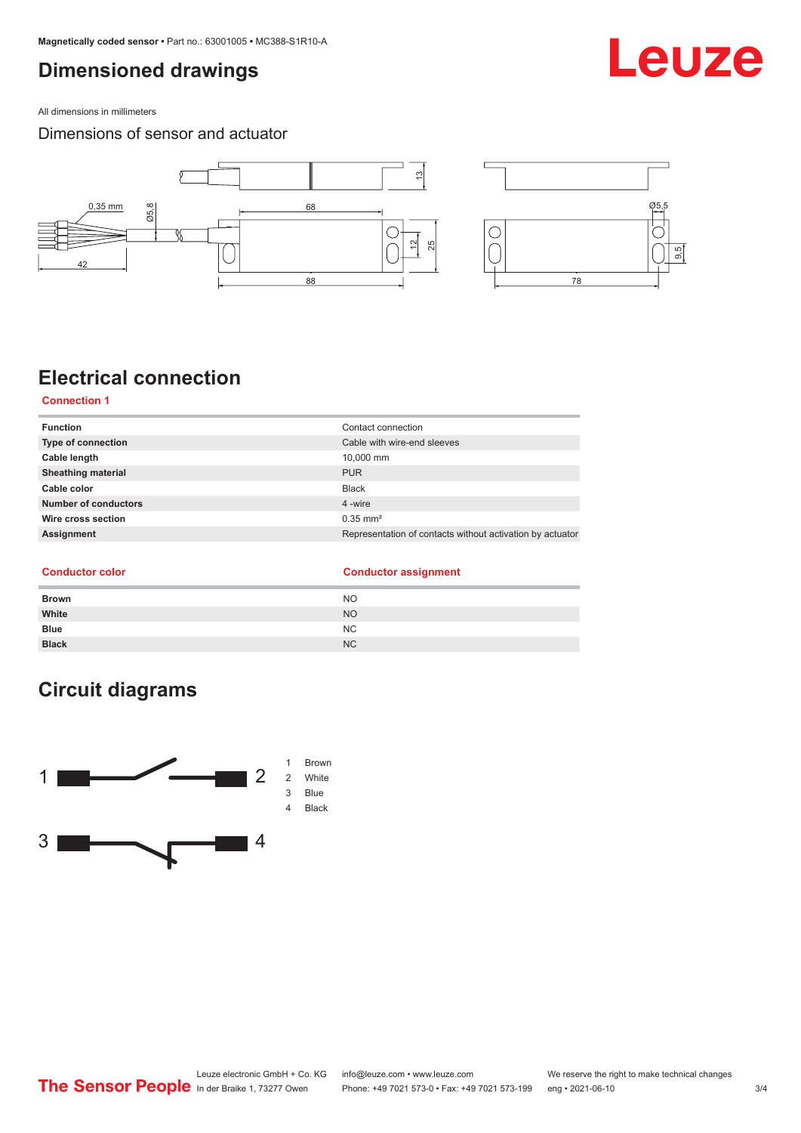## <span id="page-2-0"></span>**Dimensioned drawings**

All dimensions in millimeters

#### Dimensions of sensor and actuator



## **Electrical connection**

**Connection 1**

| <b>Function</b>           | Contact connection                                        |
|---------------------------|-----------------------------------------------------------|
| <b>Type of connection</b> | Cable with wire-end sleeves                               |
| Cable length              | 10,000 mm                                                 |
| <b>Sheathing material</b> | <b>PUR</b>                                                |
| Cable color               | <b>Black</b>                                              |
| Number of conductors      | 4 -wire                                                   |
| Wire cross section        | $0.35$ mm <sup>2</sup>                                    |
| Assignment                | Representation of contacts without activation by actuator |
|                           |                                                           |

#### **Conductor color Conductor assignment**

| <b>Brown</b> | <b>NO</b> |
|--------------|-----------|
| White        | <b>NO</b> |
| <b>Blue</b>  | NC        |
| <b>Black</b> | <b>NC</b> |

## **Circuit diagrams**



## Leuze